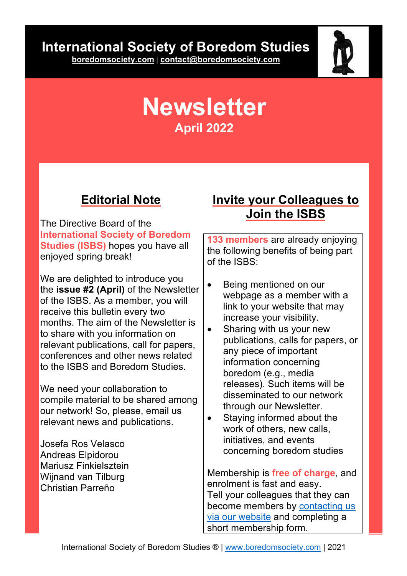# **International Society of Boredom Studies**

**boredomsociety.com | contact@boredomsociety.com**



# **Newsletter April 2022**

### **Editorial Note**

The Directive Board of the **International Society of Boredom Studies (ISBS)** hopes you have all enjoyed spring break!

We are delighted to introduce you the **issue #2 (April)** of the Newsletter of the ISBS. As a member, you will receive this bulletin every two months. The aim of the Newsletter is to share with you information on relevant publications, call for papers, conferences and other news related to the ISBS and Boredom Studies.

We need your collaboration to compile material to be shared among our network! So, please, email us relevant news and publications.

Josefa Ros Velasco Andreas Elpidorou Mariusz Finkielsztein Wijnand van Tilburg Christian Parreño

### **Invite your Colleagues to Join the ISBS**

**133 members** are already enjoying the following benefits of being part of the ISBS:

- Being mentioned on our webpage as a member with a link to your website that may increase your visibility.
- Sharing with us your new publications, calls for papers, or any piece of important information concerning boredom (e.g., media releases). Such items will be disseminated to our network through our Newsletter.
- Staying informed about the work of others, new calls, initiatives, and events concerning boredom studies

Membership is **free of charge**, and enrolment is fast and easy. Tell your colleagues that they can become members by contacting us via our website and completing a short membership form.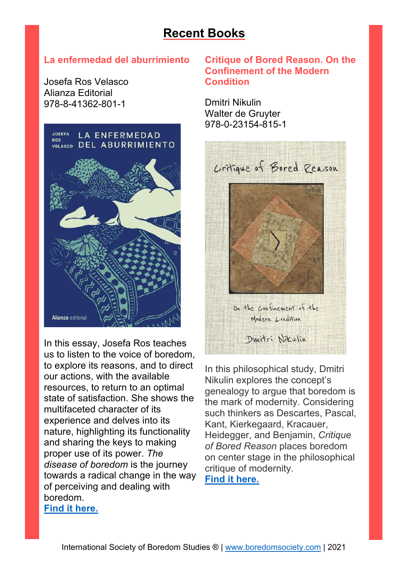### **Recent Books**

#### **La enfermedad del aburrimiento**

Josefa Ros Velasco Alianza Editorial 978-8-41362-801-1



In this essay, Josefa Ros teaches us to listen to the voice of boredom, to explore its reasons, and to direct our actions, with the available resources, to return to an optimal state of satisfaction. She shows the multifaceted character of its experience and delves into its nature, highlighting its functionality and sharing the keys to making proper use of its power. *The disease of boredom* is the journey towards a radical change in the way of perceiving and dealing with boredom.

#### **Find it here.**

#### **Critique of Bored Reason. On the Confinement of the Modern Condition**

Dmitri Nikulin Walter de Gruyter 978-0-23154-815-1



In this philosophical study, Dmitri Nikulin explores the concept's genealogy to argue that boredom is the mark of modernity. Considering such thinkers as Descartes, Pascal, Kant, Kierkegaard, Kracauer, Heidegger, and Benjamin, *Critique of Bored Reason* places boredom on center stage in the philosophical critique of modernity. **Find it here.**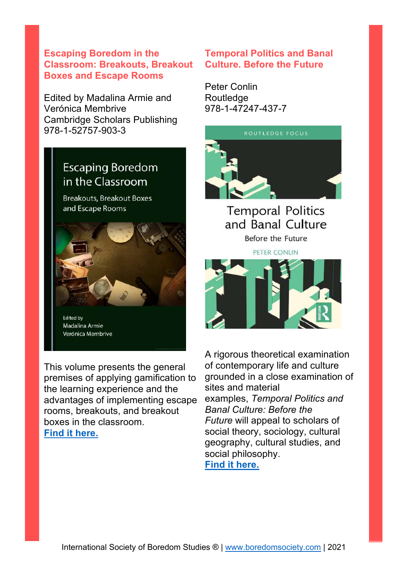#### **Escaping Boredom in the Classroom: Breakouts, Breakout Boxes and Escape Rooms**

Edited by Madalina Armie and Verónica Membrive Cambridge Scholars Publishing 978-1-52757-903-3

### **Escaping Boredom** in the Classroom

**Breakouts, Breakout Boxes** and Escape Rooms



This volume presents the general premises of applying gamification to the learning experience and the advantages of implementing escape rooms, breakouts, and breakout boxes in the classroom. **Find it here.**

#### **Temporal Politics and Banal Culture. Before the Future**

Peter Conlin **Routledge** 978-1-47247-437-7



**Temporal Politics** and Banal Culture Before the Future

PETER CONLIN



A rigorous theoretical examination of contemporary life and culture grounded in a close examination of sites and material examples, *Temporal Politics and Banal Culture: Before the Future* will appeal to scholars of social theory, sociology, cultural geography, cultural studies, and social philosophy. **Find it here.**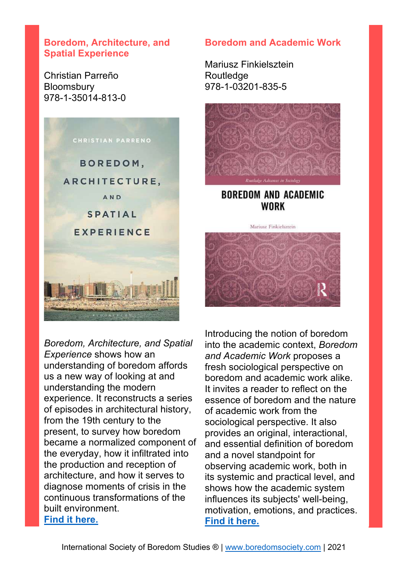#### **Boredom, Architecture, and Spatial Experience**

Christian Parreño **Bloomsbury** 978-1-35014-813-0



*Boredom, Architecture, and Spatial Experience* shows how an understanding of boredom affords us a new way of looking at and understanding the modern experience. It reconstructs a series of episodes in architectural history, from the 19th century to the present, to survey how boredom became a normalized component of the everyday, how it infiltrated into the production and reception of architecture, and how it serves to diagnose moments of crisis in the continuous transformations of the built environment. **Find it here.**

#### **Boredom and Academic Work**

Mariusz Finkielsztein Routledge 978-1-03201-835-5



#### **BOREDOM AND ACADEMIC** WORK



Introducing the notion of boredom into the academic context, *Boredom and Academic Work* proposes a fresh sociological perspective on boredom and academic work alike. It invites a reader to reflect on the essence of boredom and the nature of academic work from the sociological perspective. It also provides an original, interactional, and essential definition of boredom and a novel standpoint for observing academic work, both in its systemic and practical level, and shows how the academic system influences its subjects' well-being, motivation, emotions, and practices. **Find it here.**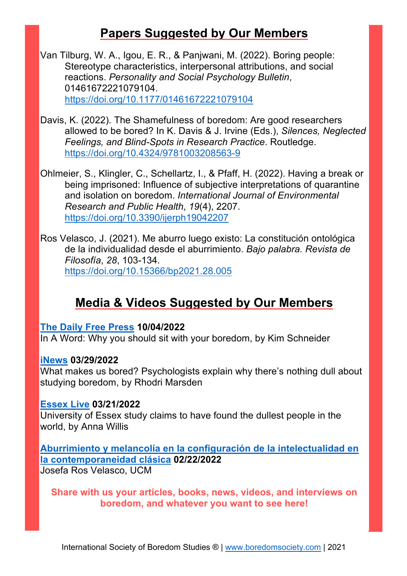### **Papers Suggested by Our Members**

Van Tilburg, W. A., Igou, E. R., & Panjwani, M. (2022). Boring people: Stereotype characteristics, interpersonal attributions, and social reactions. *Personality and Social Psychology Bulletin*, 01461672221079104. https://doi.org/10.1177/01461672221079104

- Davis, K. (2022). The Shamefulness of boredom: Are good researchers allowed to be bored? In K. Davis & J. Irvine (Eds.), *Silences, Neglected Feelings, and Blind-Spots in Research Practice*. Routledge. https://doi.org/10.4324/9781003208563-9
- Ohlmeier, S., Klingler, C., Schellartz, I., & Pfaff, H. (2022). Having a break or being imprisoned: Influence of subjective interpretations of quarantine and isolation on boredom. *International Journal of Environmental Research and Public Health*, *19*(4), 2207. https://doi.org/10.3390/ijerph19042207
- Ros Velasco, J. (2021). Me aburro luego existo: La constitución ontológica de la individualidad desde el aburrimiento. *Bajo palabra. Revista de Filosofía*, *28*, 103-134. https://doi.org/10.15366/bp2021.28.005

### **Media & Videos Suggested by Our Members**

#### **The Daily Free Press 10/04/2022**

In A Word: Why you should sit with your boredom, by Kim Schneider

#### **iNews 03/29/2022**

What makes us bored? Psychologists explain why there's nothing dull about studying boredom, by Rhodri Marsden

#### **Essex Live 03/21/2022**

University of Essex study claims to have found the dullest people in the world, by Anna Willis

#### **Aburrimiento y melancolía en la configuración de la intelectualidad en la contemporaneidad clásica 02/22/2022**

Josefa Ros Velasco, UCM

**Share with us your articles, books, news, videos, and interviews on boredom, and whatever you want to see here!**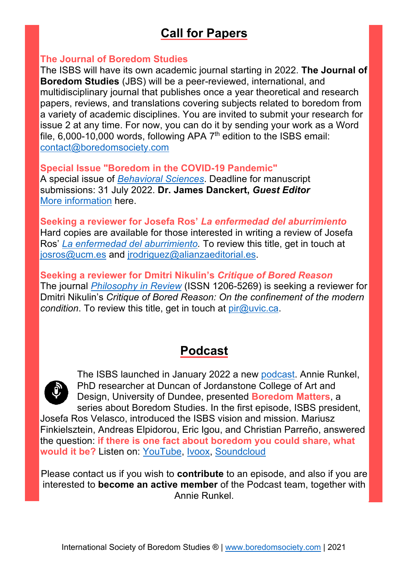## **Call for Papers**

#### **The Journal of Boredom Studies**

The ISBS will have its own academic journal starting in 2022. **The Journal of Boredom Studies** (JBS) will be a peer-reviewed, international, and multidisciplinary journal that publishes once a year theoretical and research papers, reviews, and translations covering subjects related to boredom from a variety of academic disciplines. You are invited to submit your research for issue 2 at any time. For now, you can do it by sending your work as a Word file,  $6,000$ -10,000 words, following APA  $7<sup>th</sup>$  edition to the ISBS email: contact@boredomsociety.com

**Special Issue "Boredom in the COVID-19 Pandemic"** A special issue of *Behavioral Sciences*. Deadline for manuscript submissions: 31 July 2022. **Dr. James Danckert,** *Guest Editor* More information here.

**Seeking a reviewer for Josefa Ros'** *La enfermedad del aburrimiento* Hard copies are available for those interested in writing a review of Josefa Ros' *La enfermedad del aburrimiento.* To review this title, get in touch at josros@ucm.es and jrodriguez@alianzaeditorial.es.

**Seeking a reviewer for Dmitri Nikulin's** *Critique of Bored Reason* The journal *Philosophy in Review* (ISSN 1206-5269) is seeking a reviewer for Dmitri Nikulin's *Critique of Bored Reason: On the confinement of the modern condition*. To review this title, get in touch at pir@uvic.ca.

### **Podcast**



The ISBS launched in January 2022 a new podcast. Annie Runkel, PhD researcher at Duncan of Jordanstone College of Art and Design, University of Dundee, presented **Boredom Matters**, a series about Boredom Studies. In the first episode, ISBS president,

Josefa Ros Velasco, introduced the ISBS vision and mission. Mariusz Finkielsztein, Andreas Elpidorou, Eric Igou, and Christian Parreño, answered the question: **if there is one fact about boredom you could share, what would it be?** Listen on: YouTube, Ivoox, Soundcloud

Please contact us if you wish to **contribute** to an episode, and also if you are interested to **become an active member** of the Podcast team, together with Annie Runkel.